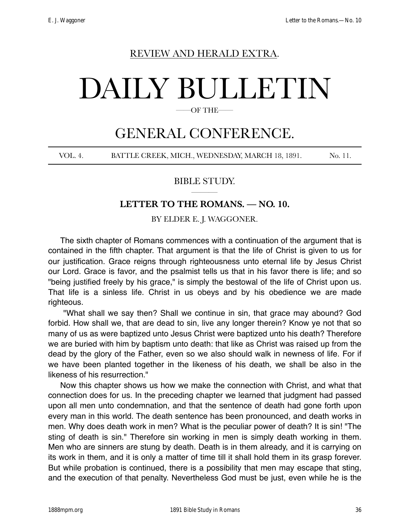## REVIEW AND HERALD EXTRA.

# DAILY BULLETIN

#### OF THE-

## GENERAL CONFERENCE.

VOL. 4. BATTLE CREEK, MICH., WEDNESDAY, MARCH 18, 1891. No. 11.

## BIBLE STUDY. ———

## **LETTER TO THE ROMANS. — NO. 10.**

BY ELDER E. J. WAGGONER.

The sixth chapter of Romans commences with a continuation of the argument that is contained in the fifth chapter. That argument is that the life of Christ is given to us for our justification. Grace reigns through righteousness unto eternal life by Jesus Christ our Lord. Grace is favor, and the psalmist tells us that in his favor there is life; and so "being justified freely by his grace," is simply the bestowal of the life of Christ upon us. That life is a sinless life. Christ in us obeys and by his obedience we are made righteous.

 "What shall we say then? Shall we continue in sin, that grace may abound? God forbid. How shall we, that are dead to sin, live any longer therein? Know ye not that so many of us as were baptized unto Jesus Christ were baptized unto his death? Therefore we are buried with him by baptism unto death: that like as Christ was raised up from the dead by the glory of the Father, even so we also should walk in newness of life. For if we have been planted together in the likeness of his death, we shall be also in the likeness of his resurrection."

Now this chapter shows us how we make the connection with Christ, and what that connection does for us. In the preceding chapter we learned that judgment had passed upon all men unto condemnation, and that the sentence of death had gone forth upon every man in this world. The death sentence has been pronounced, and death works in men. Why does death work in men? What is the peculiar power of death? It is sin! "The sting of death is sin." Therefore sin working in men is simply death working in them. Men who are sinners are stung by death. Death is in them already, and it is carrying on its work in them, and it is only a matter of time till it shall hold them in its grasp forever. But while probation is continued, there is a possibility that men may escape that sting, and the execution of that penalty. Nevertheless God must be just, even while he is the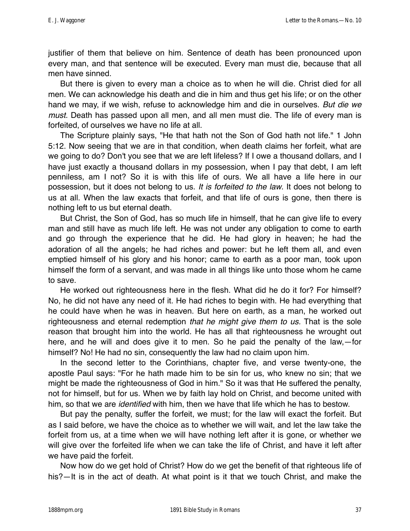justifier of them that believe on him. Sentence of death has been pronounced upon every man, and that sentence will be executed. Every man must die, because that all men have sinned.

But there is given to every man a choice as to when he will die. Christ died for all men. We can acknowledge his death and die in him and thus get his life; or on the other hand we may, if we wish, refuse to acknowledge him and die in ourselves. *But die we must.* Death has passed upon all men, and all men must die. The life of every man is forfeited, of ourselves we have no life at all.

The Scripture plainly says, "He that hath not the Son of God hath not life." 1 John 5:12. Now seeing that we are in that condition, when death claims her forfeit, what are we going to do? Don't you see that we are left lifeless? If I owe a thousand dollars, and I have just exactly a thousand dollars in my possession, when I pay that debt, I am left penniless, am I not? So it is with this life of ours. We all have a life here in our possession, but it does not belong to us. *It is forfeited to the law*. It does not belong to us at all. When the law exacts that forfeit, and that life of ours is gone, then there is nothing left to us but eternal death.

But Christ, the Son of God, has so much life in himself, that he can give life to every man and still have as much life left. He was not under any obligation to come to earth and go through the experience that he did. He had glory in heaven; he had the adoration of all the angels; he had riches and power: but he left them all, and even emptied himself of his glory and his honor; came to earth as a poor man, took upon himself the form of a servant, and was made in all things like unto those whom he came to save.

He worked out righteousness here in the flesh. What did he do it for? For himself? No, he did not have any need of it. He had riches to begin with. He had everything that he could have when he was in heaven. But here on earth, as a man, he worked out righteousness and eternal redemption *that he might give them to us.* That is the sole reason that brought him into the world. He has all that righteousness he wrought out here, and he will and does give it to men. So he paid the penalty of the law,—for himself? No! He had no sin, consequently the law had no claim upon him.

In the second letter to the Corinthians, chapter five, and verse twenty-one, the apostle Paul says: "For he hath made him to be sin for us, who knew no sin; that we might be made the righteousness of God in him." So it was that He suffered the penalty, not for himself, but for us. When we by faith lay hold on Christ, and become united with him, so that we are *identified* with him, then we have that life which he has to bestow.

But pay the penalty, suffer the forfeit, we must; for the law will exact the forfeit. But as I said before, we have the choice as to whether we will wait, and let the law take the forfeit from us, at a time when we will have nothing left after it is gone, or whether we will give over the forfeited life when we can take the life of Christ, and have it left after we have paid the forfeit.

Now how do we get hold of Christ? How do we get the benefit of that righteous life of his?—It is in the act of death. At what point is it that we touch Christ, and make the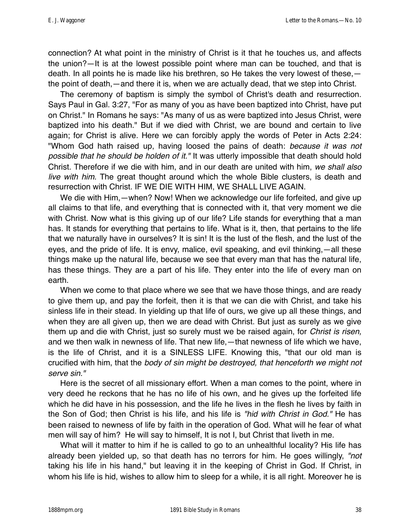connection? At what point in the ministry of Christ is it that he touches us, and affects the union?—It is at the lowest possible point where man can be touched, and that is death. In all points he is made like his brethren, so He takes the very lowest of these, the point of death,—and there it is, when we are actually dead, that we step into Christ.

The ceremony of baptism is simply the symbol of Christ's death and resurrection. Says Paul in Gal. 3:27, "For as many of you as have been baptized into Christ, have put on Christ." In Romans he says: "As many of us as were baptized into Jesus Christ, were baptized into his death." But if we died with Christ, we are bound and certain to live again; for Christ is alive. Here we can forcibly apply the words of Peter in Acts 2:24: "Whom God hath raised up, having loosed the pains of death: *because it was not possible that he should be holden of it."* It was utterly impossible that death should hold Christ. Therefore if we die with him, and in our death are united with him, *we shall also live with him.* The great thought around which the whole Bible clusters, is death and resurrection with Christ. IF WE DIE WITH HIM, WE SHALL LIVE AGAIN.

We die with Him,—when? Now! When we acknowledge our life forfeited, and give up all claims to that life, and everything that is connected with it, that very moment we die with Christ. Now what is this giving up of our life? Life stands for everything that a man has. It stands for everything that pertains to life. What is it, then, that pertains to the life that we naturally have in ourselves? It is sin! It is the lust of the flesh, and the lust of the eyes, and the pride of life. It is envy, malice, evil speaking, and evil thinking,—all these things make up the natural life, because we see that every man that has the natural life, has these things. They are a part of his life. They enter into the life of every man on earth.

When we come to that place where we see that we have those things, and are ready to give them up, and pay the forfeit, then it is that we can die with Christ, and take his sinless life in their stead. In yielding up that life of ours, we give up all these things, and when they are all given up, then we are dead with Christ. But just as surely as we give them up and die with Christ, just so surely must we be raised again, for *Christ is risen,* and we then walk in newness of life. That new life,—that newness of life which we have, is the life of Christ, and it is a SINLESS LIFE. Knowing this, "that our old man is crucified with him, that the *body of sin might be destroyed, that henceforth we might not serve sin."*

Here is the secret of all missionary effort. When a man comes to the point, where in very deed he reckons that he has no life of his own, and he gives up the forfeited life which he did have in his possession, and the life he lives in the flesh he lives by faith in the Son of God; then Christ is his life, and his life is *"hid with Christ in God."* He has been raised to newness of life by faith in the operation of God. What will he fear of what men will say of him? He will say to himself, It is not I, but Christ that liveth in me.

What will it matter to him if he is called to go to an unhealthful locality? His life has already been yielded up, so that death has no terrors for him. He goes willingly, *"not* taking his life in his hand," but leaving it in the keeping of Christ in God. If Christ, in whom his life is hid, wishes to allow him to sleep for a while, it is all right. Moreover he is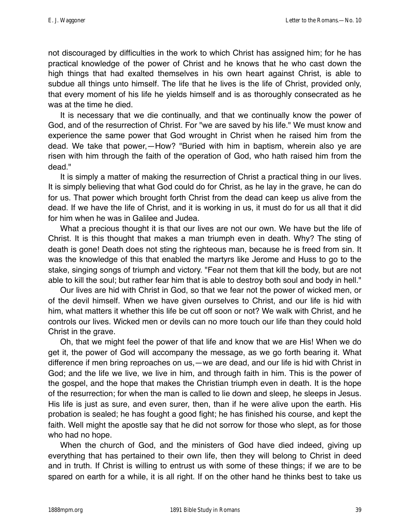not discouraged by difficulties in the work to which Christ has assigned him; for he has practical knowledge of the power of Christ and he knows that he who cast down the high things that had exalted themselves in his own heart against Christ, is able to subdue all things unto himself. The life that he lives is the life of Christ, provided only, that every moment of his life he yields himself and is as thoroughly consecrated as he was at the time he died.

It is necessary that we die continually, and that we continually know the power of God, and of the resurrection of Christ. For "we are saved by his life." We must know and experience the same power that God wrought in Christ when he raised him from the dead. We take that power,—How? "Buried with him in baptism, wherein also ye are risen with him through the faith of the operation of God, who hath raised him from the dead."

It is simply a matter of making the resurrection of Christ a practical thing in our lives. It is simply believing that what God could do for Christ, as he lay in the grave, he can do for us. That power which brought forth Christ from the dead can keep us alive from the dead. If we have the life of Christ, and it is working in us, it must do for us all that it did for him when he was in Galilee and Judea.

What a precious thought it is that our lives are not our own. We have but the life of Christ. It is this thought that makes a man triumph even in death. Why? The sting of death is gone! Death does not sting the righteous man, because he is freed from sin. It was the knowledge of this that enabled the martyrs like Jerome and Huss to go to the stake, singing songs of triumph and victory. "Fear not them that kill the body, but are not able to kill the soul; but rather fear him that is able to destroy both soul and body in hell."

Our lives are hid with Christ in God, so that we fear not the power of wicked men, or of the devil himself. When we have given ourselves to Christ, and our life is hid with him, what matters it whether this life be cut off soon or not? We walk with Christ, and he controls our lives. Wicked men or devils can no more touch our life than they could hold Christ in the grave.

Oh, that we might feel the power of that life and know that we are His! When we do get it, the power of God will accompany the message, as we go forth bearing it. What difference if men bring reproaches on us,—we are dead, and our life is hid with Christ in God; and the life we live, we live in him, and through faith in him. This is the power of the gospel, and the hope that makes the Christian triumph even in death. It is the hope of the resurrection; for when the man is called to lie down and sleep, he sleeps in Jesus. His life is just as sure, and even surer, then, than if he were alive upon the earth. His probation is sealed; he has fought a good fight; he has finished his course, and kept the faith. Well might the apostle say that he did not sorrow for those who slept, as for those who had no hope.

When the church of God, and the ministers of God have died indeed, giving up everything that has pertained to their own life, then they will belong to Christ in deed and in truth. If Christ is willing to entrust us with some of these things; if we are to be spared on earth for a while, it is all right. If on the other hand he thinks best to take us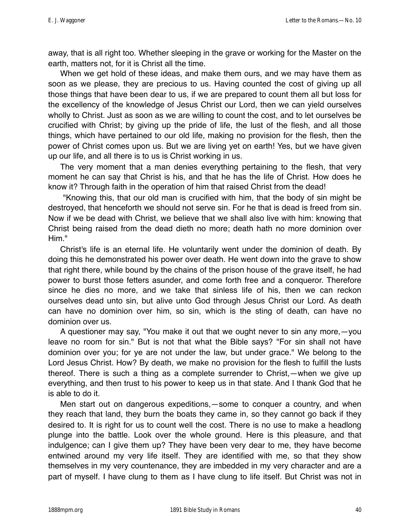away, that is all right too. Whether sleeping in the grave or working for the Master on the earth, matters not, for it is Christ all the time.

When we get hold of these ideas, and make them ours, and we may have them as soon as we please, they are precious to us. Having counted the cost of giving up all those things that have been dear to us, if we are prepared to count them all but loss for the excellency of the knowledge of Jesus Christ our Lord, then we can yield ourselves wholly to Christ. Just as soon as we are willing to count the cost, and to let ourselves be crucified with Christ; by giving up the pride of life, the lust of the flesh, and all those things, which have pertained to our old life, making no provision for the flesh, then the power of Christ comes upon us. But we are living yet on earth! Yes, but we have given up our life, and all there is to us is Christ working in us.

The very moment that a man denies everything pertaining to the flesh, that very moment he can say that Christ is his, and that he has the life of Christ. How does he know it? Through faith in the operation of him that raised Christ from the dead!

 "Knowing this, that our old man is crucified with him, that the body of sin might be destroyed, that henceforth we should not serve sin. For he that is dead is freed from sin. Now if we be dead with Christ, we believe that we shall also live with him: knowing that Christ being raised from the dead dieth no more; death hath no more dominion over Him."

Christ's life is an eternal life. He voluntarily went under the dominion of death. By doing this he demonstrated his power over death. He went down into the grave to show that right there, while bound by the chains of the prison house of the grave itself, he had power to burst those fetters asunder, and come forth free and a conqueror. Therefore since he dies no more, and we take that sinless life of his, then we can reckon ourselves dead unto sin, but alive unto God through Jesus Christ our Lord. As death can have no dominion over him, so sin, which is the sting of death, can have no dominion over us.

A questioner may say, "You make it out that we ought never to sin any more,—you leave no room for sin." But is not that what the Bible says? "For sin shall not have dominion over you; for ye are not under the law, but under grace." We belong to the Lord Jesus Christ. How? By death, we make no provision for the flesh to fulfill the lusts thereof. There is such a thing as a complete surrender to Christ,—when we give up everything, and then trust to his power to keep us in that state. And I thank God that he is able to do it.

Men start out on dangerous expeditions,—some to conquer a country, and when they reach that land, they burn the boats they came in, so they cannot go back if they desired to. It is right for us to count well the cost. There is no use to make a headlong plunge into the battle. Look over the whole ground. Here is this pleasure, and that indulgence; can I give them up? They have been very dear to me, they have become entwined around my very life itself. They are identified with me, so that they show themselves in my very countenance, they are imbedded in my very character and are a part of myself. I have clung to them as I have clung to life itself. But Christ was not in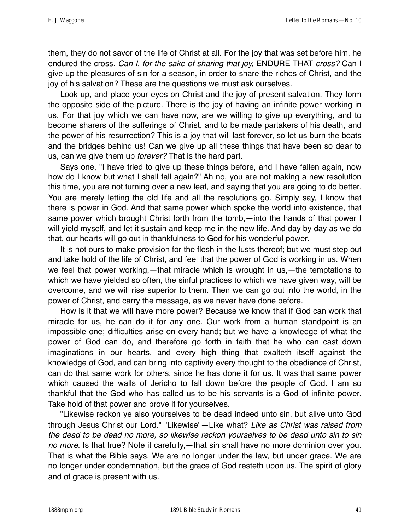them, they do not savor of the life of Christ at all. For the joy that was set before him, he endured the cross. *Can I, for the sake of sharing that joy,* ENDURE THAT *cross?* Can I give up the pleasures of sin for a season, in order to share the riches of Christ, and the joy of his salvation? These are the questions we must ask ourselves.

Look up, and place your eyes on Christ and the joy of present salvation. They form the opposite side of the picture. There is the joy of having an infinite power working in us. For that joy which we can have now, are we willing to give up everything, and to become sharers of the sufferings of Christ, and to be made partakers of his death, and the power of his resurrection? This is a joy that will last forever, so let us burn the boats and the bridges behind us! Can we give up all these things that have been so dear to us, can we give them up *forever?* That is the hard part.

Says one, "I have tried to give up these things before, and I have fallen again, now how do I know but what I shall fall again?" Ah no, you are not making a new resolution this time, you are not turning over a new leaf, and saying that you are going to do better. You are merely letting the old life and all the resolutions go. Simply say, I know that there is power in God. And that same power which spoke the world into existence, that same power which brought Christ forth from the tomb,—into the hands of that power I will yield myself, and let it sustain and keep me in the new life. And day by day as we do that, our hearts will go out in thankfulness to God for his wonderful power.

It is not ours to make provision for the flesh in the lusts thereof; but we must step out and take hold of the life of Christ, and feel that the power of God is working in us. When we feel that power working,—that miracle which is wrought in us,—the temptations to which we have yielded so often, the sinful practices to which we have given way, will be overcome, and we will rise superior to them. Then we can go out into the world, in the power of Christ, and carry the message, as we never have done before.

How is it that we will have more power? Because we know that if God can work that miracle for us, he can do it for any one. Our work from a human standpoint is an impossible one; difficulties arise on every hand; but we have a knowledge of what the power of God can do, and therefore go forth in faith that he who can cast down imaginations in our hearts, and every high thing that exalteth itself against the knowledge of God, and can bring into captivity every thought to the obedience of Christ, can do that same work for others, since he has done it for us. It was that same power which caused the walls of Jericho to fall down before the people of God. I am so thankful that the God who has called us to be his servants is a God of infinite power. Take hold of that power and prove it for yourselves.

"Likewise reckon ye also yourselves to be dead indeed unto sin, but alive unto God through Jesus Christ our Lord." "Likewise"—Like what? *Like as Christ was raised from the dead to be dead no more, so likewise reckon yourselves to be dead unto sin to sin no more.* Is that true? Note it carefully,—that sin shall have no more dominion over you. That is what the Bible says. We are no longer under the law, but under grace. We are no longer under condemnation, but the grace of God resteth upon us. The spirit of glory and of grace is present with us.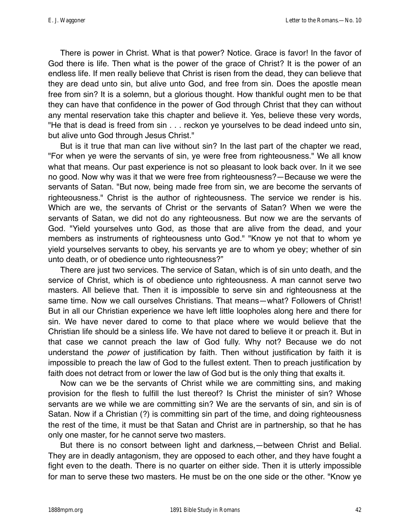There is power in Christ. What is that power? Notice. Grace is favor! In the favor of God there is life. Then what is the power of the grace of Christ? It is the power of an endless life. If men really believe that Christ is risen from the dead, they can believe that they are dead unto sin, but alive unto God, and free from sin. Does the apostle mean free from sin? It is a solemn, but a glorious thought. How thankful ought men to be that they can have that confidence in the power of God through Christ that they can without any mental reservation take this chapter and believe it. Yes, believe these very words, "He that is dead is freed from sin . . . reckon ye yourselves to be dead indeed unto sin, but alive unto God through Jesus Christ."

But is it true that man can live without sin? In the last part of the chapter we read, "For when ye were the servants of sin, ye were free from righteousness." We all know what that means. Our past experience is not so pleasant to look back over. In it we see no good. Now why was it that we were free from righteousness?—Because we were the servants of Satan. "But now, being made free from sin, we are become the servants of righteousness." Christ is the author of righteousness. The service we render is his. Which are we, the servants of Christ or the servants of Satan? When we were the servants of Satan, we did not do any righteousness. But now we are the servants of God. "Yield yourselves unto God, as those that are alive from the dead, and your members as instruments of righteousness unto God." "Know ye not that to whom ye yield yourselves servants to obey, his servants ye are to whom ye obey; whether of sin unto death, or of obedience unto righteousness?"

There are just two services. The service of Satan, which is of sin unto death, and the service of Christ, which is of obedience unto righteousness. A man cannot serve two masters. All believe that. Then it is impossible to serve sin and righteousness at the same time. Now we call ourselves Christians. That means—what? Followers of Christ! But in all our Christian experience we have left little loopholes along here and there for sin. We have never dared to come to that place where we would believe that the Christian life should be a sinless life. We have not dared to believe it or preach it. But in that case we cannot preach the law of God fully. Why not? Because we do not understand the *power* of justification by faith. Then without justification by faith it is impossible to preach the law of God to the fullest extent. Then to preach justification by faith does not detract from or lower the law of God but is the only thing that exalts it.

Now can we be the servants of Christ while we are committing sins, and making provision for the flesh to fulfill the lust thereof? Is Christ the minister of sin? Whose servants are we while we are committing sin? We are the servants of sin, and sin is of Satan. Now if a Christian (?) is committing sin part of the time, and doing righteousness the rest of the time, it must be that Satan and Christ are in partnership, so that he has only one master, for he cannot serve two masters.

But there is no consort between light and darkness,—between Christ and Belial. They are in deadly antagonism, they are opposed to each other, and they have fought a fight even to the death. There is no quarter on either side. Then it is utterly impossible for man to serve these two masters. He must be on the one side or the other. "Know ye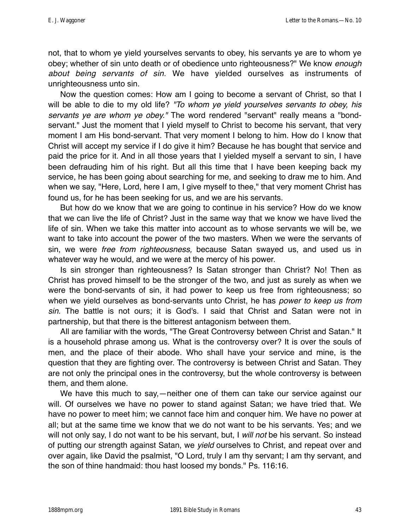not, that to whom ye yield yourselves servants to obey, his servants ye are to whom ye obey; whether of sin unto death or of obedience unto righteousness?" We know *enough about being servants of sin.* We have yielded ourselves as instruments of unrighteousness unto sin.

Now the question comes: How am I going to become a servant of Christ, so that I will be able to die to my old life? *"To whom ye yield yourselves servants to obey, his servants ye are whom ye obey."* The word rendered "servant" really means a "bondservant." Just the moment that I yield myself to Christ to become his servant, that very moment I am His bond-servant. That very moment I belong to him. How do I know that Christ will accept my service if I do give it him? Because he has bought that service and paid the price for it. And in all those years that I yielded myself a servant to sin, I have been defrauding him of his right. But all this time that I have been keeping back my service, he has been going about searching for me, and seeking to draw me to him. And when we say, "Here, Lord, here I am, I give myself to thee," that very moment Christ has found us, for he has been seeking for us, and we are his servants.

But how do we know that we are going to continue in his service? How do we know that we can live the life of Christ? Just in the same way that we know we have lived the life of sin. When we take this matter into account as to whose servants we will be, we want to take into account the power of the two masters. When we were the servants of sin, we were *free from righteousness,* because Satan swayed us, and used us in whatever way he would, and we were at the mercy of his power.

Is sin stronger than righteousness? Is Satan stronger than Christ? No! Then as Christ has proved himself to be the stronger of the two, and just as surely as when we were the bond-servants of sin, it had power to keep us free from righteousness; so when we yield ourselves as bond-servants unto Christ, he has *power to keep us from sin.* The battle is not ours; it is God's. I said that Christ and Satan were not in partnership, but that there is the bitterest antagonism between them.

All are familiar with the words, "The Great Controversy between Christ and Satan." It is a household phrase among us. What is the controversy over? It is over the souls of men, and the place of their abode. Who shall have your service and mine, is the question that they are fighting over. The controversy is between Christ and Satan. They are not only the principal ones in the controversy, but the whole controversy is between them, and them alone.

We have this much to say,—neither one of them can take our service against our will. Of ourselves we have no power to stand against Satan; we have tried that. We have no power to meet him; we cannot face him and conquer him. We have no power at all; but at the same time we know that we do not want to be his servants. Yes; and we will not only say, I do not want to be his servant, but, I *will not* be his servant. So instead of putting our strength against Satan, we *yield* ourselves to Christ, and repeat over and over again, like David the psalmist, "O Lord, truly I am thy servant; I am thy servant, and the son of thine handmaid: thou hast loosed my bonds." Ps. 116:16.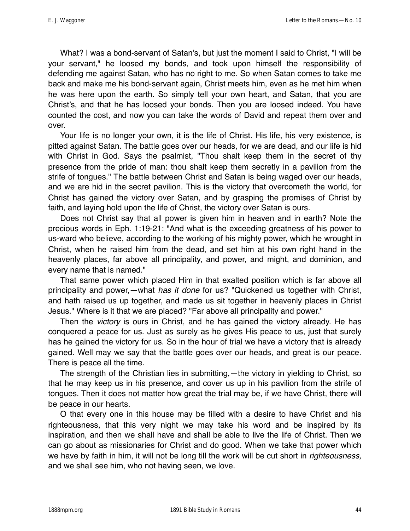What? I was a bond-servant of Satan's, but just the moment I said to Christ, "I will be your servant," he loosed my bonds, and took upon himself the responsibility of defending me against Satan, who has no right to me. So when Satan comes to take me back and make me his bond-servant again, Christ meets him, even as he met him when he was here upon the earth. So simply tell your own heart, and Satan, that you are Christ's, and that he has loosed your bonds. Then you are loosed indeed. You have counted the cost, and now you can take the words of David and repeat them over and over.

Your life is no longer your own, it is the life of Christ. His life, his very existence, is pitted against Satan. The battle goes over our heads, for we are dead, and our life is hid with Christ in God. Says the psalmist, "Thou shalt keep them in the secret of thy presence from the pride of man: thou shalt keep them secretly in a pavilion from the strife of tongues." The battle between Christ and Satan is being waged over our heads, and we are hid in the secret pavilion. This is the victory that overcometh the world, for Christ has gained the victory over Satan, and by grasping the promises of Christ by faith, and laying hold upon the life of Christ, the victory over Satan is ours.

Does not Christ say that all power is given him in heaven and in earth? Note the precious words in Eph. 1:19-21: "And what is the exceeding greatness of his power to us-ward who believe, according to the working of his mighty power, which he wrought in Christ, when he raised him from the dead, and set him at his own right hand in the heavenly places, far above all principality, and power, and might, and dominion, and every name that is named."

That same power which placed Him in that exalted position which is far above all principality and power,—what *has it done* for us? "Quickened us together with Christ, and hath raised us up together, and made us sit together in heavenly places in Christ Jesus." Where is it that we are placed? "Far above all principality and power."

Then the *victory* is ours in Christ, and he has gained the victory already. He has conquered a peace for us. Just as surely as he gives His peace to us, just that surely has he gained the victory for us. So in the hour of trial we have a victory that is already gained. Well may we say that the battle goes over our heads, and great is our peace. There is peace all the time.

The strength of the Christian lies in submitting,—the victory in yielding to Christ, so that he may keep us in his presence, and cover us up in his pavilion from the strife of tongues. Then it does not matter how great the trial may be, if we have Christ, there will be peace in our hearts.

O that every one in this house may be filled with a desire to have Christ and his righteousness, that this very night we may take his word and be inspired by its inspiration, and then we shall have and shall be able to live the life of Christ. Then we can go about as missionaries for Christ and do good. When we take that power which we have by faith in him, it will not be long till the work will be cut short in *righteousness,* and we shall see him, who not having seen, we love.